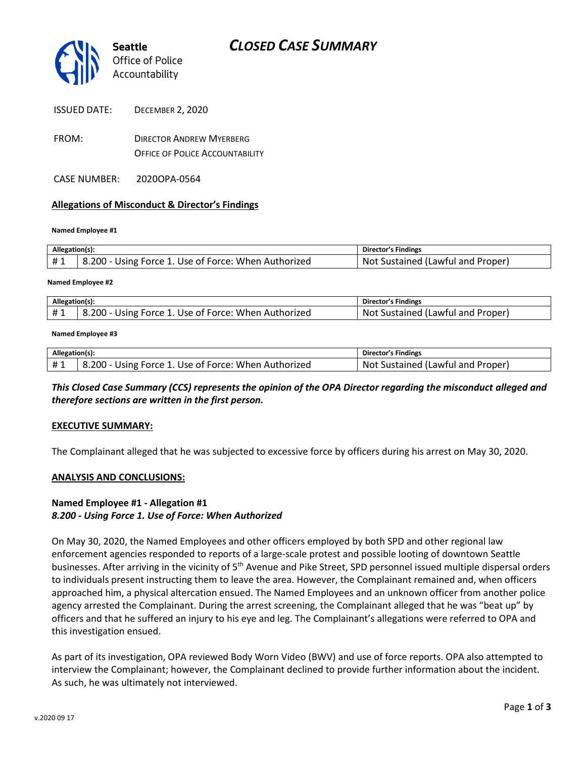

- ISSUED DATE: DECEMBER 2, 2020
- FROM: DIRECTOR ANDREW MYERBERG OFFICE OF POLICE ACCOUNTABILITY
- CASE NUMBER: 2020OPA-0564

### **Allegations of Misconduct & Director's Findings**

#### **Named Employee #1**

| Allegation(s): |                                                      | Director's Findings               |
|----------------|------------------------------------------------------|-----------------------------------|
| #1             | 8.200 - Using Force 1. Use of Force: When Authorized | Not Sustained (Lawful and Proper) |
|                |                                                      |                                   |

#### **Named Employee #2**

| Allegation(s): |                                                      | Director's Findings                     |
|----------------|------------------------------------------------------|-----------------------------------------|
| <b>H</b> 1     | 8.200 - Using Force 1. Use of Force: When Authorized | : Sustained (Lawful and Proper)<br>Not. |

#### **Named Employee #3**

| Allegation(s): |                                                      | <b>Director's Findings</b>           |
|----------------|------------------------------------------------------|--------------------------------------|
|                | 8.200 - Using Force 1. Use of Force: When Authorized | Sustained (Lawful and Proper)<br>Not |

## *This Closed Case Summary (CCS) represents the opinion of the OPA Director regarding the misconduct alleged and therefore sections are written in the first person.*

### **EXECUTIVE SUMMARY:**

The Complainant alleged that he was subjected to excessive force by officers during his arrest on May 30, 2020.

### **ANALYSIS AND CONCLUSIONS:**

## **Named Employee #1 - Allegation #1** *8.200 - Using Force 1. Use of Force: When Authorized*

On May 30, 2020, the Named Employees and other officers employed by both SPD and other regional law enforcement agencies responded to reports of a large-scale protest and possible looting of downtown Seattle businesses. After arriving in the vicinity of 5<sup>th</sup> Avenue and Pike Street, SPD personnel issued multiple dispersal orders to individuals present instructing them to leave the area. However, the Complainant remained and, when officers approached him, a physical altercation ensued. The Named Employees and an unknown officer from another police agency arrested the Complainant. During the arrest screening, the Complainant alleged that he was "beat up" by officers and that he suffered an injury to his eye and leg. The Complainant's allegations were referred to OPA and this investigation ensued.

As part of its investigation, OPA reviewed Body Worn Video (BWV) and use of force reports. OPA also attempted to interview the Complainant; however, the Complainant declined to provide further information about the incident. As such, he was ultimately not interviewed.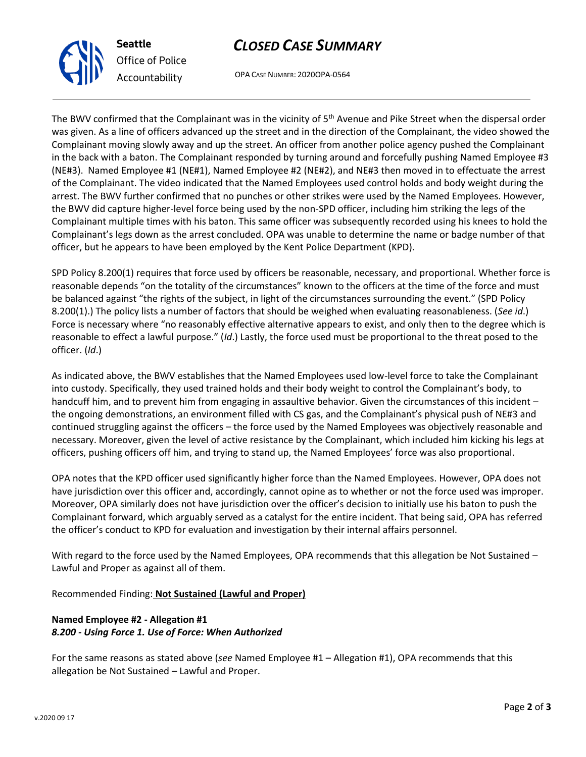# *CLOSED CASE SUMMARY*

OPA CASE NUMBER: 2020OPA-0564

The BWV confirmed that the Complainant was in the vicinity of 5<sup>th</sup> Avenue and Pike Street when the dispersal order was given. As a line of officers advanced up the street and in the direction of the Complainant, the video showed the Complainant moving slowly away and up the street. An officer from another police agency pushed the Complainant in the back with a baton. The Complainant responded by turning around and forcefully pushing Named Employee #3 (NE#3). Named Employee #1 (NE#1), Named Employee #2 (NE#2), and NE#3 then moved in to effectuate the arrest of the Complainant. The video indicated that the Named Employees used control holds and body weight during the arrest. The BWV further confirmed that no punches or other strikes were used by the Named Employees. However, the BWV did capture higher-level force being used by the non-SPD officer, including him striking the legs of the Complainant multiple times with his baton. This same officer was subsequently recorded using his knees to hold the Complainant's legs down as the arrest concluded. OPA was unable to determine the name or badge number of that officer, but he appears to have been employed by the Kent Police Department (KPD).

SPD Policy 8.200(1) requires that force used by officers be reasonable, necessary, and proportional. Whether force is reasonable depends "on the totality of the circumstances" known to the officers at the time of the force and must be balanced against "the rights of the subject, in light of the circumstances surrounding the event." (SPD Policy 8.200(1).) The policy lists a number of factors that should be weighed when evaluating reasonableness. (*See id*.) Force is necessary where "no reasonably effective alternative appears to exist, and only then to the degree which is reasonable to effect a lawful purpose." (*Id*.) Lastly, the force used must be proportional to the threat posed to the officer. (*Id*.)

As indicated above, the BWV establishes that the Named Employees used low-level force to take the Complainant into custody. Specifically, they used trained holds and their body weight to control the Complainant's body, to handcuff him, and to prevent him from engaging in assaultive behavior. Given the circumstances of this incident the ongoing demonstrations, an environment filled with CS gas, and the Complainant's physical push of NE#3 and continued struggling against the officers – the force used by the Named Employees was objectively reasonable and necessary. Moreover, given the level of active resistance by the Complainant, which included him kicking his legs at officers, pushing officers off him, and trying to stand up, the Named Employees' force was also proportional.

OPA notes that the KPD officer used significantly higher force than the Named Employees. However, OPA does not have jurisdiction over this officer and, accordingly, cannot opine as to whether or not the force used was improper. Moreover, OPA similarly does not have jurisdiction over the officer's decision to initially use his baton to push the Complainant forward, which arguably served as a catalyst for the entire incident. That being said, OPA has referred the officer's conduct to KPD for evaluation and investigation by their internal affairs personnel.

With regard to the force used by the Named Employees, OPA recommends that this allegation be Not Sustained – Lawful and Proper as against all of them.

# Recommended Finding: **Not Sustained (Lawful and Proper)**

# **Named Employee #2 - Allegation #1** *8.200 - Using Force 1. Use of Force: When Authorized*

For the same reasons as stated above (*see* Named Employee #1 – Allegation #1), OPA recommends that this allegation be Not Sustained – Lawful and Proper.



**Seattle**

*Office of Police Accountability*